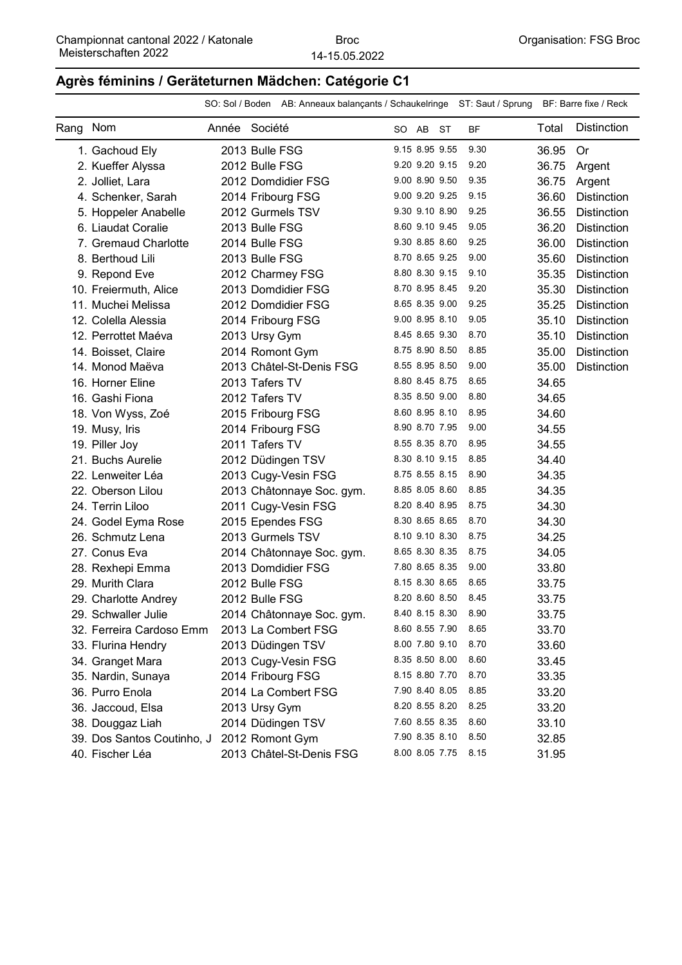### **Agrès féminins / Geräteturnen Mädchen: Catégorie C1**

|          |                            |               |                | SO: Sol / Boden AB: Anneaux balançants / Schaukelringe ST: Saut / Sprung BF: Barre fixe / Reck |  |                |                |           |       |                    |
|----------|----------------------------|---------------|----------------|------------------------------------------------------------------------------------------------|--|----------------|----------------|-----------|-------|--------------------|
| Rang Nom |                            | Année Société |                |                                                                                                |  | SO AB ST       |                | <b>BF</b> | Total | <b>Distinction</b> |
|          | 1. Gachoud Ely             |               | 2013 Bulle FSG |                                                                                                |  | 9.15 8.95 9.55 |                | 9.30      | 36.95 | Or                 |
|          | 2. Kueffer Alyssa          |               | 2012 Bulle FSG |                                                                                                |  | 9.20 9.20 9.15 |                | 9.20      | 36.75 | Argent             |
|          | 2. Jolliet, Lara           |               |                | 2012 Domdidier FSG                                                                             |  | 9.00 8.90 9.50 |                | 9.35      | 36.75 | Argent             |
|          | 4. Schenker, Sarah         |               |                | 2014 Fribourg FSG                                                                              |  | 9.00 9.20 9.25 |                | 9.15      | 36.60 | <b>Distinction</b> |
|          | 5. Hoppeler Anabelle       |               |                | 2012 Gurmels TSV                                                                               |  | 9.30 9.10 8.90 |                | 9.25      | 36.55 | <b>Distinction</b> |
|          | 6. Liaudat Coralie         |               | 2013 Bulle FSG |                                                                                                |  | 8.60 9.10 9.45 |                | 9.05      | 36.20 | <b>Distinction</b> |
|          | 7. Gremaud Charlotte       |               | 2014 Bulle FSG |                                                                                                |  | 9.30 8.85 8.60 |                | 9.25      | 36.00 | <b>Distinction</b> |
|          | 8. Berthoud Lili           |               | 2013 Bulle FSG |                                                                                                |  | 8.70 8.65 9.25 |                | 9.00      | 35.60 | <b>Distinction</b> |
|          | 9. Repond Eve              |               |                | 2012 Charmey FSG                                                                               |  | 8.80 8.30 9.15 |                | 9.10      | 35.35 | <b>Distinction</b> |
|          | 10. Freiermuth, Alice      |               |                | 2013 Domdidier FSG                                                                             |  | 8.70 8.95 8.45 |                | 9.20      | 35.30 | <b>Distinction</b> |
|          | 11. Muchei Melissa         |               |                | 2012 Domdidier FSG                                                                             |  | 8.65 8.35 9.00 |                | 9.25      | 35.25 | <b>Distinction</b> |
|          | 12. Colella Alessia        |               |                | 2014 Fribourg FSG                                                                              |  | 9.00 8.95 8.10 |                | 9.05      | 35.10 | <b>Distinction</b> |
|          | 12. Perrottet Maéva        |               | 2013 Ursy Gym  |                                                                                                |  | 8.45 8.65 9.30 |                | 8.70      | 35.10 | <b>Distinction</b> |
|          | 14. Boisset, Claire        |               |                | 2014 Romont Gym                                                                                |  | 8.75 8.90 8.50 |                | 8.85      | 35.00 | <b>Distinction</b> |
|          | 14. Monod Maëva            |               |                | 2013 Châtel-St-Denis FSG                                                                       |  | 8.55 8.95 8.50 |                | 9.00      | 35.00 | <b>Distinction</b> |
|          | 16. Horner Eline           |               | 2013 Tafers TV |                                                                                                |  | 8.80 8.45 8.75 |                | 8.65      | 34.65 |                    |
|          | 16. Gashi Fiona            |               | 2012 Tafers TV |                                                                                                |  | 8.35 8.50 9.00 |                | 8.80      | 34.65 |                    |
|          | 18. Von Wyss, Zoé          |               |                | 2015 Fribourg FSG                                                                              |  | 8.60 8.95 8.10 |                | 8.95      | 34.60 |                    |
|          | 19. Musy, Iris             |               |                | 2014 Fribourg FSG                                                                              |  | 8.90 8.70 7.95 |                | 9.00      | 34.55 |                    |
|          | 19. Piller Joy             |               | 2011 Tafers TV |                                                                                                |  | 8.55 8.35 8.70 |                | 8.95      | 34.55 |                    |
|          | 21. Buchs Aurelie          |               |                | 2012 Düdingen TSV                                                                              |  | 8.30 8.10 9.15 |                | 8.85      | 34.40 |                    |
|          | 22. Lenweiter Léa          |               |                | 2013 Cugy-Vesin FSG                                                                            |  | 8.75 8.55 8.15 |                | 8.90      | 34.35 |                    |
|          | 22. Oberson Lilou          |               |                | 2013 Châtonnaye Soc. gym.                                                                      |  | 8.85 8.05 8.60 |                | 8.85      | 34.35 |                    |
|          | 24. Terrin Liloo           |               |                | 2011 Cugy-Vesin FSG                                                                            |  | 8.20 8.40 8.95 |                | 8.75      | 34.30 |                    |
|          | 24. Godel Eyma Rose        |               |                | 2015 Ependes FSG                                                                               |  | 8.30 8.65 8.65 |                | 8.70      | 34.30 |                    |
|          | 26. Schmutz Lena           |               |                | 2013 Gurmels TSV                                                                               |  | 8.10 9.10 8.30 |                | 8.75      | 34.25 |                    |
|          | 27. Conus Eva              |               |                | 2014 Châtonnaye Soc. gym.                                                                      |  | 8.65 8.30 8.35 |                | 8.75      | 34.05 |                    |
|          | 28. Rexhepi Emma           |               |                | 2013 Domdidier FSG                                                                             |  | 7.80 8.65 8.35 |                | 9.00      | 33.80 |                    |
|          | 29. Murith Clara           |               | 2012 Bulle FSG |                                                                                                |  | 8.15 8.30 8.65 |                | 8.65      | 33.75 |                    |
|          | 29. Charlotte Andrey       |               | 2012 Bulle FSG |                                                                                                |  | 8.20 8.60 8.50 |                | 8.45      | 33.75 |                    |
|          | 29. Schwaller Julie        |               |                | 2014 Châtonnaye Soc. gym.                                                                      |  | 8.40 8.15 8.30 |                | 8.90      | 33.75 |                    |
|          | 32. Ferreira Cardoso Emm   |               |                | 2013 La Combert FSG                                                                            |  | 8.60 8.55 7.90 |                | 8.65      | 33.70 |                    |
|          | 33. Flurina Hendry         |               |                | 2013 Düdingen TSV                                                                              |  | 8.00 7.80 9.10 |                | 8.70      | 33.60 |                    |
|          | 34. Granget Mara           |               |                | 2013 Cugy-Vesin FSG                                                                            |  | 8.35 8.50 8.00 |                | 8.60      | 33.45 |                    |
|          | 35. Nardin, Sunaya         |               |                | 2014 Fribourg FSG                                                                              |  | 8.15 8.80 7.70 |                | 8.70      | 33.35 |                    |
|          | 36. Purro Enola            |               |                | 2014 La Combert FSG                                                                            |  | 7.90 8.40 8.05 |                | 8.85      | 33.20 |                    |
|          | 36. Jaccoud, Elsa          |               | 2013 Ursy Gym  |                                                                                                |  | 8.20 8.55 8.20 |                | 8.25      | 33.20 |                    |
|          | 38. Douggaz Liah           |               |                | 2014 Düdingen TSV                                                                              |  | 7.60 8.55 8.35 |                | 8.60      | 33.10 |                    |
|          | 39. Dos Santos Coutinho, J |               |                | 2012 Romont Gym                                                                                |  | 7.90 8.35 8.10 |                | 8.50      | 32.85 |                    |
|          | 40. Fischer Léa            |               |                | 2013 Châtel-St-Denis FSG                                                                       |  |                | 8.00 8.05 7.75 | 8.15      | 31.95 |                    |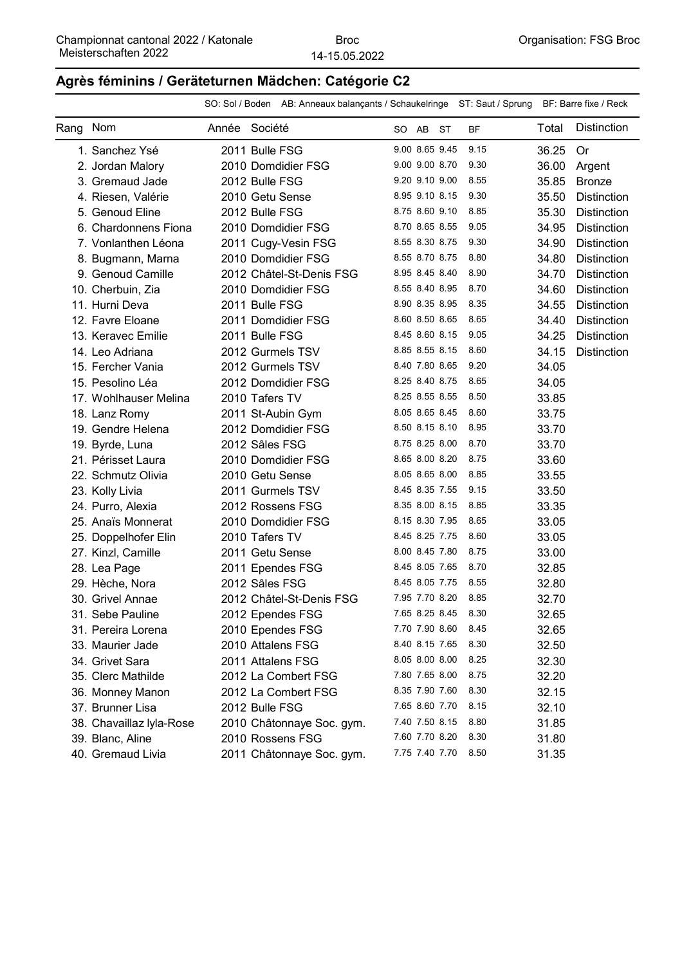#### **Agrès féminins / Geräteturnen Mädchen: Catégorie C2**

|          |                          |               |                           | SO: Sol / Boden AB: Anneaux balançants / Schaukelringe ST: Saut / Sprung BF: Barre fixe / Reck |                |                     |       |                    |
|----------|--------------------------|---------------|---------------------------|------------------------------------------------------------------------------------------------|----------------|---------------------|-------|--------------------|
| Rang Nom |                          | Année Société |                           |                                                                                                | SO AB ST       | <b>BF</b>           | Total | <b>Distinction</b> |
|          | 1. Sanchez Ysé           |               | 2011 Bulle FSG            |                                                                                                | 9.00 8.65 9.45 | 9.15                | 36.25 | <b>Or</b>          |
|          | 2. Jordan Malory         |               | 2010 Domdidier FSG        |                                                                                                | 9.00 9.00 8.70 | 9.30                | 36.00 | Argent             |
|          | 3. Gremaud Jade          |               | 2012 Bulle FSG            |                                                                                                | 9.20 9.10 9.00 | 8.55                | 35.85 | <b>Bronze</b>      |
|          | 4. Riesen, Valérie       |               | 2010 Getu Sense           |                                                                                                | 8.95 9.10 8.15 | 9.30                | 35.50 | <b>Distinction</b> |
|          | 5. Genoud Eline          |               | 2012 Bulle FSG            |                                                                                                | 8.75 8.60 9.10 | 8.85                | 35.30 | <b>Distinction</b> |
|          | 6. Chardonnens Fiona     |               | 2010 Domdidier FSG        |                                                                                                | 8.70 8.65 8.55 | 9.05                | 34.95 | <b>Distinction</b> |
|          | 7. Vonlanthen Léona      |               | 2011 Cugy-Vesin FSG       |                                                                                                | 8.55 8.30 8.75 | 9.30                | 34.90 | <b>Distinction</b> |
|          | 8. Bugmann, Marna        |               | 2010 Domdidier FSG        |                                                                                                | 8.55 8.70 8.75 | 8.80                | 34.80 | <b>Distinction</b> |
|          | 9. Genoud Camille        |               | 2012 Châtel-St-Denis FSG  |                                                                                                | 8.95 8.45 8.40 | 8.90                | 34.70 | <b>Distinction</b> |
|          | 10. Cherbuin, Zia        |               | 2010 Domdidier FSG        |                                                                                                | 8.55 8.40 8.95 | 8.70                | 34.60 | <b>Distinction</b> |
|          | 11. Hurni Deva           |               | 2011 Bulle FSG            |                                                                                                | 8.90 8.35 8.95 | 8.35                | 34.55 | <b>Distinction</b> |
|          | 12. Favre Eloane         |               | 2011 Domdidier FSG        |                                                                                                | 8.60 8.50 8.65 | 8.65                | 34.40 | <b>Distinction</b> |
|          | 13. Keravec Emilie       |               | 2011 Bulle FSG            |                                                                                                | 8.45 8.60 8.15 | 9.05                | 34.25 | <b>Distinction</b> |
|          | 14. Leo Adriana          |               | 2012 Gurmels TSV          |                                                                                                | 8.85 8.55 8.15 | 8.60                | 34.15 | <b>Distinction</b> |
|          | 15. Fercher Vania        |               | 2012 Gurmels TSV          |                                                                                                | 8.40 7.80 8.65 | 9.20                | 34.05 |                    |
|          | 15. Pesolino Léa         |               | 2012 Domdidier FSG        |                                                                                                | 8.25 8.40 8.75 | 8.65                | 34.05 |                    |
|          | 17. Wohlhauser Melina    |               | 2010 Tafers TV            |                                                                                                | 8.25 8.55 8.55 | 8.50                | 33.85 |                    |
|          | 18. Lanz Romy            |               | 2011 St-Aubin Gym         |                                                                                                | 8.05 8.65 8.45 | 8.60                | 33.75 |                    |
|          | 19. Gendre Helena        |               | 2012 Domdidier FSG        |                                                                                                | 8.50 8.15 8.10 | 8.95                | 33.70 |                    |
|          | 19. Byrde, Luna          |               | 2012 Sâles FSG            |                                                                                                | 8.75 8.25 8.00 | 8.70                | 33.70 |                    |
|          | 21. Périsset Laura       |               | 2010 Domdidier FSG        |                                                                                                | 8.65 8.00 8.20 | 8.75                | 33.60 |                    |
|          | 22. Schmutz Olivia       |               | 2010 Getu Sense           |                                                                                                | 8.05 8.65 8.00 | 8.85                | 33.55 |                    |
|          | 23. Kolly Livia          |               | 2011 Gurmels TSV          |                                                                                                | 8.45 8.35 7.55 | 9.15                | 33.50 |                    |
|          | 24. Purro, Alexia        |               | 2012 Rossens FSG          |                                                                                                | 8.35 8.00 8.15 | 8.85                | 33.35 |                    |
|          | 25. Anaïs Monnerat       |               | 2010 Domdidier FSG        |                                                                                                | 8.15 8.30 7.95 | 8.65                | 33.05 |                    |
|          | 25. Doppelhofer Elin     |               | 2010 Tafers TV            |                                                                                                | 8.45 8.25 7.75 | 8.60                | 33.05 |                    |
|          | 27. Kinzl, Camille       |               | 2011 Getu Sense           |                                                                                                | 8.00 8.45 7.80 | 8.75                | 33.00 |                    |
|          | 28. Lea Page             |               | 2011 Ependes FSG          |                                                                                                | 8.45 8.05 7.65 | 8.70                | 32.85 |                    |
|          | 29. Hèche, Nora          |               | 2012 Sâles FSG            |                                                                                                | 8.45 8.05 7.75 | 8.55                | 32.80 |                    |
|          | 30. Grivel Annae         |               | 2012 Châtel-St-Denis FSG  |                                                                                                | 7.95 7.70 8.20 | 8.85                | 32.70 |                    |
|          | 31. Sebe Pauline         |               | 2012 Ependes FSG          |                                                                                                |                | 7.65 8.25 8.45 8.30 | 32.65 |                    |
|          | 31. Pereira Lorena       |               | 2010 Ependes FSG          |                                                                                                | 7.70 7.90 8.60 | 8.45                | 32.65 |                    |
|          | 33. Maurier Jade         |               | 2010 Attalens FSG         |                                                                                                | 8.40 8.15 7.65 | 8.30                | 32.50 |                    |
|          | 34. Grivet Sara          |               | 2011 Attalens FSG         |                                                                                                | 8.05 8.00 8.00 | 8.25                | 32.30 |                    |
|          | 35. Clerc Mathilde       |               | 2012 La Combert FSG       |                                                                                                | 7.80 7.65 8.00 | 8.75                | 32.20 |                    |
|          | 36. Monney Manon         |               | 2012 La Combert FSG       |                                                                                                | 8.35 7.90 7.60 | 8.30                | 32.15 |                    |
|          | 37. Brunner Lisa         |               | 2012 Bulle FSG            |                                                                                                | 7.65 8.60 7.70 | 8.15                | 32.10 |                    |
|          | 38. Chavaillaz lyla-Rose |               | 2010 Châtonnaye Soc. gym. |                                                                                                | 7.40 7.50 8.15 | 8.80                | 31.85 |                    |
|          | 39. Blanc, Aline         |               | 2010 Rossens FSG          |                                                                                                | 7.60 7.70 8.20 | 8.30                | 31.80 |                    |
|          | 40. Gremaud Livia        |               | 2011 Châtonnaye Soc. gym. |                                                                                                | 7.75 7.40 7.70 | 8.50                | 31.35 |                    |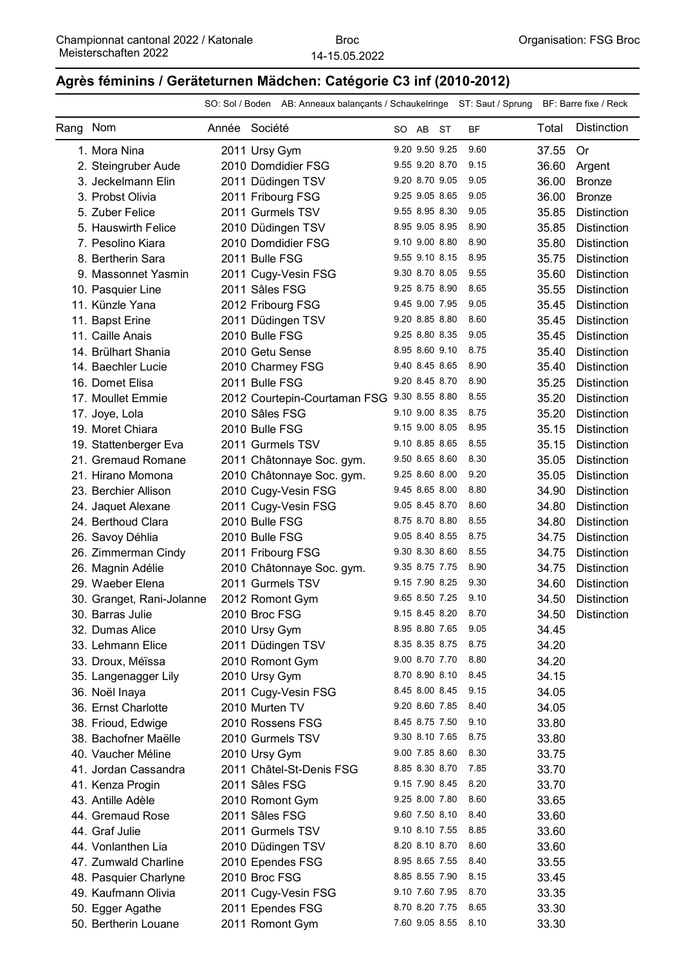## **Agrès féminins / Geräteturnen Mädchen: Catégorie C3 inf (2010-2012)**

|      |                           |               |                | SO: Sol / Boden AB: Anneaux balançants / Schaukelringe ST: Saut / Sprung BF: Barre fixe / Reck |                |                     |       |                    |
|------|---------------------------|---------------|----------------|------------------------------------------------------------------------------------------------|----------------|---------------------|-------|--------------------|
| Rang | Nom                       | Année Société |                |                                                                                                | SO AB ST       | <b>BF</b>           | Total | <b>Distinction</b> |
|      | 1. Mora Nina              |               | 2011 Ursy Gym  |                                                                                                | 9.20 9.50 9.25 | 9.60                | 37.55 | 0r                 |
|      | 2. Steingruber Aude       |               |                | 2010 Domdidier FSG                                                                             | 9.55 9.20 8.70 | 9.15                | 36.60 | Argent             |
|      | 3. Jeckelmann Elin        |               |                | 2011 Düdingen TSV                                                                              | 9.20 8.70 9.05 | 9.05                | 36.00 | <b>Bronze</b>      |
|      | 3. Probst Olivia          |               |                | 2011 Fribourg FSG                                                                              | 9.25 9.05 8.65 | 9.05                | 36.00 | <b>Bronze</b>      |
|      | 5. Zuber Felice           |               |                | 2011 Gurmels TSV                                                                               | 9.55 8.95 8.30 | 9.05                | 35.85 | <b>Distinction</b> |
|      | 5. Hauswirth Felice       |               |                | 2010 Düdingen TSV                                                                              | 8.95 9.05 8.95 | 8.90                | 35.85 | <b>Distinction</b> |
|      | 7. Pesolino Kiara         |               |                | 2010 Domdidier FSG                                                                             | 9.10 9.00 8.80 | 8.90                | 35.80 | <b>Distinction</b> |
|      | 8. Bertherin Sara         |               | 2011 Bulle FSG |                                                                                                | 9.55 9.10 8.15 | 8.95                | 35.75 | <b>Distinction</b> |
|      | 9. Massonnet Yasmin       |               |                | 2011 Cugy-Vesin FSG                                                                            | 9.30 8.70 8.05 | 9.55                | 35.60 | <b>Distinction</b> |
|      | 10. Pasquier Line         |               |                | 2011 Sâles FSG                                                                                 | 9.25 8.75 8.90 | 8.65                | 35.55 | Distinction        |
|      | 11. Künzle Yana           |               |                | 2012 Fribourg FSG                                                                              | 9.45 9.00 7.95 | 9.05                | 35.45 | <b>Distinction</b> |
|      | 11. Bapst Erine           |               |                | 2011 Düdingen TSV                                                                              | 9.20 8.85 8.80 | 8.60                | 35.45 | <b>Distinction</b> |
|      | 11. Caille Anais          |               | 2010 Bulle FSG |                                                                                                | 9.25 8.80 8.35 | 9.05                | 35.45 | <b>Distinction</b> |
|      | 14. Brülhart Shania       |               |                | 2010 Getu Sense                                                                                | 8.95 8.60 9.10 | 8.75                | 35.40 | <b>Distinction</b> |
|      | 14. Baechler Lucie        |               |                | 2010 Charmey FSG                                                                               | 9.40 8.45 8.65 | 8.90                | 35.40 | <b>Distinction</b> |
|      | 16. Domet Elisa           |               | 2011 Bulle FSG |                                                                                                | 9.20 8.45 8.70 | 8.90                | 35.25 | <b>Distinction</b> |
|      | 17. Moullet Emmie         |               |                | 2012 Courtepin-Courtaman FSG 9.30 8.55 8.80                                                    |                | 8.55                | 35.20 | <b>Distinction</b> |
|      | 17. Joye, Lola            |               |                | 2010 Sâles FSG                                                                                 | 9.10 9.00 8.35 | 8.75                | 35.20 | <b>Distinction</b> |
|      | 19. Moret Chiara          |               | 2010 Bulle FSG |                                                                                                | 9.15 9.00 8.05 | 8.95                | 35.15 | <b>Distinction</b> |
|      | 19. Stattenberger Eva     |               |                | 2011 Gurmels TSV                                                                               | 9.10 8.85 8.65 | 8.55                | 35.15 | <b>Distinction</b> |
|      | 21. Gremaud Romane        |               |                | 2011 Châtonnaye Soc. gym.                                                                      | 9.50 8.65 8.60 | 8.30                | 35.05 | <b>Distinction</b> |
|      | 21. Hirano Momona         |               |                | 2010 Châtonnaye Soc. gym.                                                                      | 9.25 8.60 8.00 | 9.20                | 35.05 | <b>Distinction</b> |
|      | 23. Berchier Allison      |               |                | 2010 Cugy-Vesin FSG                                                                            | 9.45 8.65 8.00 | 8.80                | 34.90 | <b>Distinction</b> |
|      | 24. Jaquet Alexane        |               |                | 2011 Cugy-Vesin FSG                                                                            | 9.05 8.45 8.70 | 8.60                | 34.80 | <b>Distinction</b> |
|      | 24. Berthoud Clara        |               | 2010 Bulle FSG |                                                                                                | 8.75 8.70 8.80 | 8.55                | 34.80 | <b>Distinction</b> |
|      | 26. Savoy Déhlia          |               | 2010 Bulle FSG |                                                                                                | 9.05 8.40 8.55 | 8.75                | 34.75 | <b>Distinction</b> |
|      | 26. Zimmerman Cindy       |               |                | 2011 Fribourg FSG                                                                              | 9.30 8.30 8.60 | 8.55                | 34.75 | <b>Distinction</b> |
|      | 26. Magnin Adélie         |               |                | 2010 Châtonnaye Soc. gym.                                                                      | 9.35 8.75 7.75 | 8.90                | 34.75 | <b>Distinction</b> |
|      | 29. Waeber Elena          |               |                | 2011 Gurmels TSV                                                                               | 9.15 7.90 8.25 | 9.30                | 34.60 | <b>Distinction</b> |
|      | 30. Granget, Rani-Jolanne |               |                | 2012 Romont Gym                                                                                | 9.65 8.50 7.25 | 9.10                | 34.50 | <b>Distinction</b> |
|      | 30. Barras Julie          |               | 2010 Broc FSG  |                                                                                                |                | 9.15 8.45 8.20 8.70 | 34.50 | Distinction        |
|      | 32. Dumas Alice           |               | 2010 Ursy Gym  |                                                                                                | 8.95 8.80 7.65 | 9.05                | 34.45 |                    |
|      | 33. Lehmann Elice         |               |                | 2011 Düdingen TSV                                                                              | 8.35 8.35 8.75 | 8.75                | 34.20 |                    |
|      | 33. Droux, Méïssa         |               |                | 2010 Romont Gym                                                                                | 9.00 8.70 7.70 | 8.80                | 34.20 |                    |
|      | 35. Langenagger Lily      |               | 2010 Ursy Gym  |                                                                                                | 8.70 8.90 8.10 | 8.45                | 34.15 |                    |
|      | 36. Noël Inaya            |               |                | 2011 Cugy-Vesin FSG                                                                            | 8.45 8.00 8.45 | 9.15                | 34.05 |                    |
|      | 36. Ernst Charlotte       |               | 2010 Murten TV |                                                                                                | 9.20 8.60 7.85 | 8.40                | 34.05 |                    |
|      | 38. Frioud, Edwige        |               |                | 2010 Rossens FSG                                                                               | 8.45 8.75 7.50 | 9.10                | 33.80 |                    |
|      | 38. Bachofner Maëlle      |               |                | 2010 Gurmels TSV                                                                               | 9.30 8.10 7.65 | 8.75                | 33.80 |                    |
|      | 40. Vaucher Méline        |               | 2010 Ursy Gym  |                                                                                                | 9.00 7.85 8.60 | 8.30                | 33.75 |                    |
|      | 41. Jordan Cassandra      |               |                | 2011 Châtel-St-Denis FSG                                                                       | 8.85 8.30 8.70 | 7.85                | 33.70 |                    |
|      | 41. Kenza Progin          |               |                | 2011 Sâles FSG                                                                                 | 9.15 7.90 8.45 | 8.20                | 33.70 |                    |
|      | 43. Antille Adèle         |               |                | 2010 Romont Gym                                                                                | 9.25 8.00 7.80 | 8.60                | 33.65 |                    |
|      | 44. Gremaud Rose          |               |                | 2011 Sâles FSG                                                                                 | 9.60 7.50 8.10 | 8.40                | 33.60 |                    |
|      | 44. Graf Julie            |               |                | 2011 Gurmels TSV                                                                               | 9.10 8.10 7.55 | 8.85                | 33.60 |                    |
|      | 44. Vonlanthen Lia        |               |                | 2010 Düdingen TSV                                                                              | 8.20 8.10 8.70 | 8.60                | 33.60 |                    |
|      | 47. Zumwald Charline      |               |                | 2010 Ependes FSG                                                                               | 8.95 8.65 7.55 | 8.40                | 33.55 |                    |
|      | 48. Pasquier Charlyne     |               | 2010 Broc FSG  |                                                                                                | 8.85 8.55 7.90 | 8.15                | 33.45 |                    |
|      | 49. Kaufmann Olivia       |               |                | 2011 Cugy-Vesin FSG                                                                            | 9.10 7.60 7.95 | 8.70                | 33.35 |                    |
|      | 50. Egger Agathe          |               |                | 2011 Ependes FSG                                                                               | 8.70 8.20 7.75 | 8.65                | 33.30 |                    |
|      | 50. Bertherin Louane      |               |                | 2011 Romont Gym                                                                                | 7.60 9.05 8.55 | 8.10                | 33.30 |                    |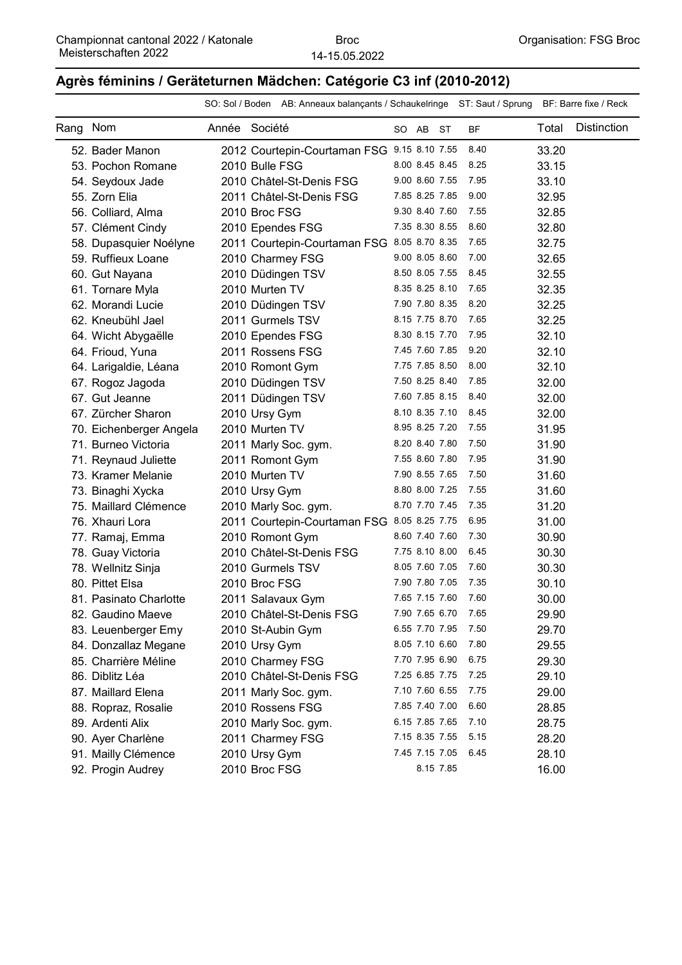#### **Agrès féminins / Geräteturnen Mädchen: Catégorie C3 inf (2010-2012)**

|          |                         |               | SO: Sol / Boden AB: Anneaux balançants / Schaukelringe ST: Saut / Sprung BF: Barre fixe / Reck |                |                |           |           |       |                    |
|----------|-------------------------|---------------|------------------------------------------------------------------------------------------------|----------------|----------------|-----------|-----------|-------|--------------------|
| Rang Nom |                         | Année Société |                                                                                                |                | SO AB ST       |           | <b>BF</b> | Total | <b>Distinction</b> |
|          | 52. Bader Manon         |               | 2012 Courtepin-Courtaman FSG 9.15 8.10 7.55                                                    |                |                |           | 8.40      | 33.20 |                    |
|          | 53. Pochon Romane       |               | 2010 Bulle FSG                                                                                 | 8.00 8.45 8.45 |                |           | 8.25      | 33.15 |                    |
|          | 54. Seydoux Jade        |               | 2010 Châtel-St-Denis FSG                                                                       | 9.00 8.60 7.55 |                |           | 7.95      | 33.10 |                    |
|          | 55. Zorn Elia           |               | 2011 Châtel-St-Denis FSG                                                                       | 7.85 8.25 7.85 |                |           | 9.00      | 32.95 |                    |
|          | 56. Colliard, Alma      |               | 2010 Broc FSG                                                                                  | 9.30 8.40 7.60 |                |           | 7.55      | 32.85 |                    |
|          | 57. Clément Cindy       |               | 2010 Ependes FSG                                                                               |                | 7.35 8.30 8.55 |           | 8.60      | 32.80 |                    |
|          | 58. Dupasquier Noélyne  |               | 2011 Courtepin-Courtaman FSG 8.05 8.70 8.35                                                    |                |                |           | 7.65      | 32.75 |                    |
|          | 59. Ruffieux Loane      |               | 2010 Charmey FSG                                                                               | 9.00 8.05 8.60 |                |           | 7.00      | 32.65 |                    |
|          | 60. Gut Nayana          |               | 2010 Düdingen TSV                                                                              | 8.50 8.05 7.55 |                |           | 8.45      | 32.55 |                    |
|          | 61. Tornare Myla        |               | 2010 Murten TV                                                                                 | 8.35 8.25 8.10 |                |           | 7.65      | 32.35 |                    |
|          | 62. Morandi Lucie       |               | 2010 Düdingen TSV                                                                              | 7.90 7.80 8.35 |                |           | 8.20      | 32.25 |                    |
|          | 62. Kneubühl Jael       |               | 2011 Gurmels TSV                                                                               |                | 8.15 7.75 8.70 |           | 7.65      | 32.25 |                    |
|          | 64. Wicht Abygaëlle     |               | 2010 Ependes FSG                                                                               | 8.30 8.15 7.70 |                |           | 7.95      | 32.10 |                    |
|          | 64. Frioud, Yuna        |               | 2011 Rossens FSG                                                                               | 7.45 7.60 7.85 |                |           | 9.20      | 32.10 |                    |
|          | 64. Larigaldie, Léana   |               | 2010 Romont Gym                                                                                | 7.75 7.85 8.50 |                |           | 8.00      | 32.10 |                    |
|          | 67. Rogoz Jagoda        |               | 2010 Düdingen TSV                                                                              | 7.50 8.25 8.40 |                |           | 7.85      | 32.00 |                    |
|          | 67. Gut Jeanne          |               | 2011 Düdingen TSV                                                                              | 7.60 7.85 8.15 |                |           | 8.40      | 32.00 |                    |
|          | 67. Zürcher Sharon      |               | 2010 Ursy Gym                                                                                  | 8.10 8.35 7.10 |                |           | 8.45      | 32.00 |                    |
|          | 70. Eichenberger Angela |               | 2010 Murten TV                                                                                 | 8.95 8.25 7.20 |                |           | 7.55      | 31.95 |                    |
|          | 71. Burneo Victoria     |               | 2011 Marly Soc. gym.                                                                           | 8.20 8.40 7.80 |                |           | 7.50      | 31.90 |                    |
|          | 71. Reynaud Juliette    |               | 2011 Romont Gym                                                                                | 7.55 8.60 7.80 |                |           | 7.95      | 31.90 |                    |
|          | 73. Kramer Melanie      |               | 2010 Murten TV                                                                                 |                | 7.90 8.55 7.65 |           | 7.50      | 31.60 |                    |
|          | 73. Binaghi Xycka       |               | 2010 Ursy Gym                                                                                  | 8.80 8.00 7.25 |                |           | 7.55      | 31.60 |                    |
|          | 75. Maillard Clémence   |               | 2010 Marly Soc. gym.                                                                           | 8.70 7.70 7.45 |                |           | 7.35      | 31.20 |                    |
|          | 76. Xhauri Lora         |               | 2011 Courtepin-Courtaman FSG 8.05 8.25 7.75                                                    |                |                |           | 6.95      | 31.00 |                    |
|          | 77. Ramaj, Emma         |               | 2010 Romont Gym                                                                                | 8.60 7.40 7.60 |                |           | 7.30      | 30.90 |                    |
|          | 78. Guay Victoria       |               | 2010 Châtel-St-Denis FSG                                                                       | 7.75 8.10 8.00 |                |           | 6.45      | 30.30 |                    |
|          | 78. Wellnitz Sinja      |               | 2010 Gurmels TSV                                                                               | 8.05 7.60 7.05 |                |           | 7.60      | 30.30 |                    |
|          | 80. Pittet Elsa         |               | 2010 Broc FSG                                                                                  |                | 7.90 7.80 7.05 |           | 7.35      | 30.10 |                    |
|          | 81. Pasinato Charlotte  |               | 2011 Salavaux Gym                                                                              |                | 7.65 7.15 7.60 |           | 7.60      | 30.00 |                    |
|          | 82. Gaudino Maeve       |               | 2010 Châtel-St-Denis FSG                                                                       |                | 7.90 7.65 6.70 |           | 7.65      | 29.90 |                    |
|          | 83. Leuenberger Emy     |               | 2010 St-Aubin Gym                                                                              | 6.55 7.70 7.95 |                |           | 7.50      | 29.70 |                    |
|          | 84. Donzallaz Megane    |               | 2010 Ursy Gym                                                                                  | 8.05 7.10 6.60 |                |           | 7.80      | 29.55 |                    |
|          | 85. Charrière Méline    |               | 2010 Charmey FSG                                                                               |                | 7.70 7.95 6.90 |           | 6.75      | 29.30 |                    |
|          | 86. Diblitz Léa         |               | 2010 Châtel-St-Denis FSG                                                                       |                | 7.25 6.85 7.75 |           | 7.25      | 29.10 |                    |
|          | 87. Maillard Elena      |               | 2011 Marly Soc. gym.                                                                           | 7.10 7.60 6.55 |                |           | 7.75      | 29.00 |                    |
|          | 88. Ropraz, Rosalie     |               | 2010 Rossens FSG                                                                               | 7.85 7.40 7.00 |                |           | 6.60      | 28.85 |                    |
|          | 89. Ardenti Alix        |               | 2010 Marly Soc. gym.                                                                           | 6.15 7.85 7.65 |                |           | 7.10      | 28.75 |                    |
|          | 90. Ayer Charlène       |               | 2011 Charmey FSG                                                                               | 7.15 8.35 7.55 |                |           | 5.15      | 28.20 |                    |
|          | 91. Mailly Clémence     |               | 2010 Ursy Gym                                                                                  | 7.45 7.15 7.05 |                |           | 6.45      | 28.10 |                    |
|          | 92. Progin Audrey       |               | 2010 Broc FSG                                                                                  |                |                | 8.15 7.85 |           | 16.00 |                    |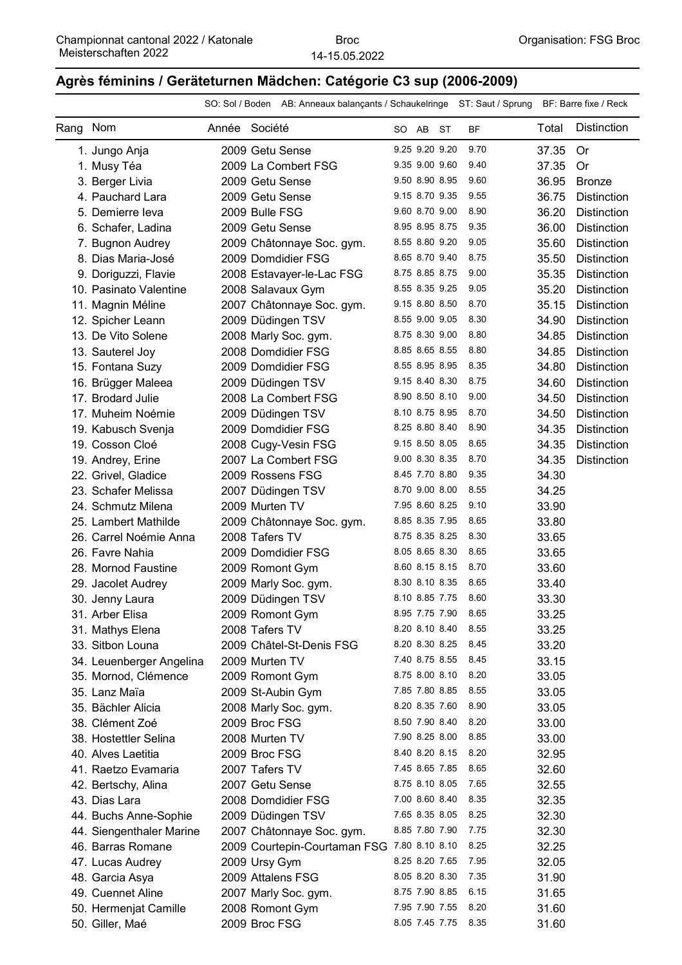## **Agrès féminins / Geräteturnen Mädchen: Catégorie C3 sup (2006-2009)**

|      |                          |               |                | SO: Sol / Boden AB: Anneaux balançants / Schaukelringe ST: Saut / Sprung BF: Barre fixe / Reck |                |           |       |                    |
|------|--------------------------|---------------|----------------|------------------------------------------------------------------------------------------------|----------------|-----------|-------|--------------------|
| Rang | Nom                      | Année Société |                |                                                                                                | SO AB ST       | <b>BF</b> | Total | <b>Distinction</b> |
|      | 1. Jungo Anja            |               |                | 2009 Getu Sense                                                                                | 9.25 9.20 9.20 | 9.70      | 37.35 | Or                 |
|      | 1. Musy Téa              |               |                | 2009 La Combert FSG                                                                            | 9.35 9.00 9.60 | 9.40      | 37.35 | <b>Or</b>          |
|      | 3. Berger Livia          |               |                | 2009 Getu Sense                                                                                | 9.50 8.90 8.95 | 9.60      | 36.95 | <b>Bronze</b>      |
|      | 4. Pauchard Lara         |               |                | 2009 Getu Sense                                                                                | 9.15 8.70 9.35 | 9.55      | 36.75 | <b>Distinction</b> |
|      | 5. Demierre leva         |               | 2009 Bulle FSG |                                                                                                | 9.60 8.70 9.00 | 8.90      | 36.20 | <b>Distinction</b> |
|      | 6. Schafer, Ladina       |               |                | 2009 Getu Sense                                                                                | 8.95 8.95 8.75 | 9.35      | 36.00 | <b>Distinction</b> |
|      | 7. Bugnon Audrey         |               |                | 2009 Châtonnaye Soc. gym.                                                                      | 8.55 8.80 9.20 | 9.05      | 35.60 | <b>Distinction</b> |
|      | 8. Dias Maria-José       |               |                | 2009 Domdidier FSG                                                                             | 8.65 8.70 9.40 | 8.75      | 35.50 | <b>Distinction</b> |
|      | 9. Doriguzzi, Flavie     |               |                | 2008 Estavayer-le-Lac FSG                                                                      | 8.75 8.85 8.75 | 9.00      | 35.35 | <b>Distinction</b> |
|      | 10. Pasinato Valentine   |               |                | 2008 Salavaux Gym                                                                              | 8.55 8.35 9.25 | 9.05      | 35.20 | <b>Distinction</b> |
|      | 11. Magnin Méline        |               |                | 2007 Châtonnaye Soc. gym.                                                                      | 9.15 8.80 8.50 | 8.70      | 35.15 | <b>Distinction</b> |
|      | 12. Spicher Leann        |               |                | 2009 Düdingen TSV                                                                              | 8.55 9.00 9.05 | 8.30      | 34.90 | <b>Distinction</b> |
|      | 13. De Vito Solene       |               |                | 2008 Marly Soc. gym.                                                                           | 8.75 8.30 9.00 | 8.80      | 34.85 | <b>Distinction</b> |
|      | 13. Sauterel Joy         |               |                | 2008 Domdidier FSG                                                                             | 8.85 8.65 8.55 | 8.80      | 34.85 | <b>Distinction</b> |
|      | 15. Fontana Suzy         |               |                | 2009 Domdidier FSG                                                                             | 8.55 8.95 8.95 | 8.35      | 34.80 | <b>Distinction</b> |
|      | 16. Brügger Maleea       |               |                | 2009 Düdingen TSV                                                                              | 9.15 8.40 8.30 | 8.75      | 34.60 | <b>Distinction</b> |
|      | 17. Brodard Julie        |               |                | 2008 La Combert FSG                                                                            | 8.90 8.50 8.10 | 9.00      | 34.50 | <b>Distinction</b> |
|      | 17. Muheim Noémie        |               |                | 2009 Düdingen TSV                                                                              | 8.10 8.75 8.95 | 8.70      | 34.50 | <b>Distinction</b> |
|      | 19. Kabusch Svenja       |               |                | 2009 Domdidier FSG                                                                             | 8.25 8.80 8.40 | 8.90      | 34.35 | <b>Distinction</b> |
|      | 19. Cosson Cloé          |               |                | 2008 Cugy-Vesin FSG                                                                            | 9.15 8.50 8.05 | 8.65      | 34.35 | <b>Distinction</b> |
|      | 19. Andrey, Erine        |               |                | 2007 La Combert FSG                                                                            | 9.00 8.30 8.35 | 8.70      | 34.35 | <b>Distinction</b> |
|      | 22. Grivel, Gladice      |               |                | 2009 Rossens FSG                                                                               | 8.45 7.70 8.80 | 9.35      | 34.30 |                    |
|      | 23. Schafer Melissa      |               |                | 2007 Düdingen TSV                                                                              | 8.70 9.00 8.00 | 8.55      | 34.25 |                    |
|      | 24. Schmutz Milena       |               | 2009 Murten TV |                                                                                                | 7.95 8.60 8.25 | 9.10      | 33.90 |                    |
|      | 25. Lambert Mathilde     |               |                | 2009 Châtonnaye Soc. gym.                                                                      | 8.85 8.35 7.95 | 8.65      | 33.80 |                    |
|      | 26. Carrel Noémie Anna   |               | 2008 Tafers TV |                                                                                                | 8.75 8.35 8.25 | 8.30      | 33.65 |                    |
|      | 26. Favre Nahia          |               |                | 2009 Domdidier FSG                                                                             | 8.05 8.65 8.30 | 8.65      | 33.65 |                    |
|      | 28. Mornod Faustine      |               |                | 2009 Romont Gym                                                                                | 8.60 8.15 8.15 | 8.70      | 33.60 |                    |
|      | 29. Jacolet Audrey       |               |                | 2009 Marly Soc. gym.                                                                           | 8.30 8.10 8.35 | 8.65      | 33.40 |                    |
|      | 30. Jenny Laura          |               |                | 2009 Düdingen TSV                                                                              | 8.10 8.85 7.75 | 8.60      | 33.30 |                    |
|      | 31. Arber Elisa          |               |                | 2009 Romont Gym                                                                                | 8.95 7.75 7.90 | 8.65      | 33.25 |                    |
|      | 31. Mathys Elena         |               | 2008 Tafers TV |                                                                                                | 8.20 8.10 8.40 | 8.55      | 33.25 |                    |
|      | 33. Sitbon Louna         |               |                | 2009 Châtel-St-Denis FSG                                                                       | 8.20 8.30 8.25 | 8.45      | 33.20 |                    |
|      | 34. Leuenberger Angelina |               | 2009 Murten TV |                                                                                                | 7.40 8.75 8.55 | 8.45      | 33.15 |                    |
|      | 35. Mornod, Clémence     |               |                | 2009 Romont Gym                                                                                | 8.75 8.00 8.10 | 8.20      | 33.05 |                    |
|      | 35. Lanz Maïa            |               |                | 2009 St-Aubin Gym                                                                              | 7.85 7.80 8.85 | 8.55      | 33.05 |                    |
|      | 35. Bächler Alicia       |               |                | 2008 Marly Soc. gym.                                                                           | 8.20 8.35 7.60 | 8.90      | 33.05 |                    |
|      | 38. Clément Zoé          |               | 2009 Broc FSG  |                                                                                                | 8.50 7.90 8.40 | 8.20      | 33.00 |                    |
|      | 38. Hostettler Selina    |               | 2008 Murten TV |                                                                                                | 7.90 8.25 8.00 | 8.85      | 33.00 |                    |
|      | 40. Alves Laetitia       |               | 2009 Broc FSG  |                                                                                                | 8.40 8.20 8.15 | 8.20      | 32.95 |                    |
|      | 41. Raetzo Evamaria      |               | 2007 Tafers TV |                                                                                                | 7.45 8.65 7.85 | 8.65      | 32.60 |                    |
|      | 42. Bertschy, Alina      |               |                | 2007 Getu Sense                                                                                | 8.75 8.10 8.05 | 7.65      | 32.55 |                    |
|      | 43. Dias Lara            |               |                | 2008 Domdidier FSG                                                                             | 7.00 8.60 8.40 | 8.35      | 32.35 |                    |
|      | 44. Buchs Anne-Sophie    |               |                | 2009 Düdingen TSV                                                                              | 7.65 8.35 8.05 | 8.25      | 32.30 |                    |
|      | 44. Siengenthaler Marine |               |                | 2007 Châtonnaye Soc. gym.                                                                      | 8.85 7.80 7.90 | 7.75      | 32.30 |                    |
|      | 46. Barras Romane        |               |                | 2009 Courtepin-Courtaman FSG 7.80 8.10 8.10                                                    |                | 8.25      | 32.25 |                    |
|      | 47. Lucas Audrey         |               | 2009 Ursy Gym  |                                                                                                | 8.25 8.20 7.65 | 7.95      | 32.05 |                    |
|      | 48. Garcia Asya          |               |                | 2009 Attalens FSG                                                                              | 8.05 8.20 8.30 | 7.35      | 31.90 |                    |
|      | 49. Cuennet Aline        |               |                | 2007 Marly Soc. gym.                                                                           | 8.75 7.90 8.85 | 6.15      | 31.65 |                    |
|      | 50. Hermenjat Camille    |               |                | 2008 Romont Gym                                                                                | 7.95 7.90 7.55 | 8.20      | 31.60 |                    |
|      | 50. Giller, Maé          |               | 2009 Broc FSG  |                                                                                                | 8.05 7.45 7.75 | 8.35      | 31.60 |                    |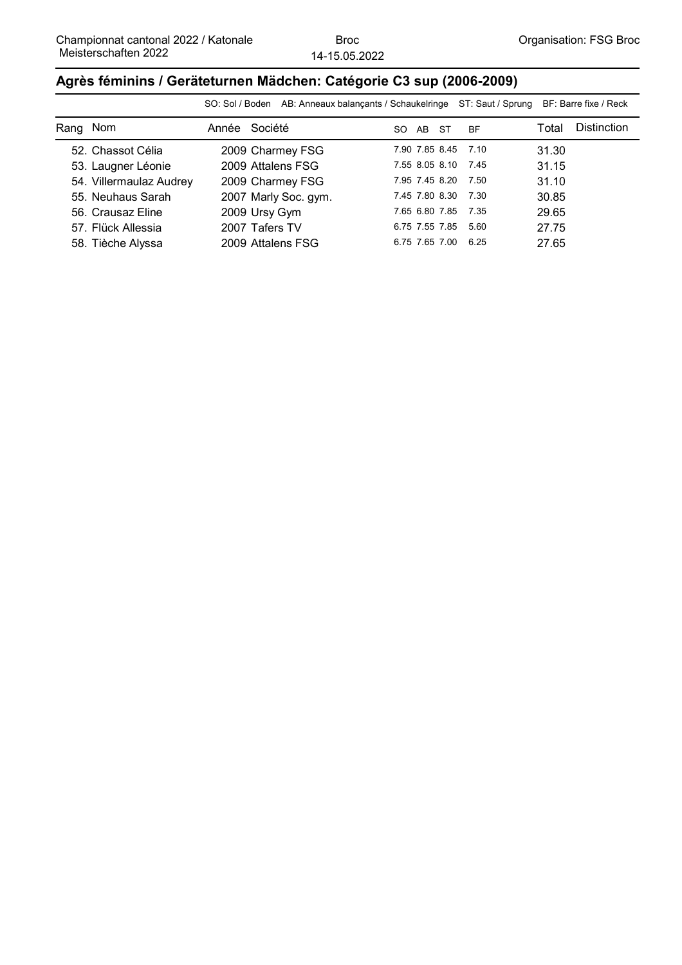#### **Agrès féminins / Geräteturnen Mädchen: Catégorie C3 sup (2006-2009)**

|          |                         |       | SO: Sol / Boden AB: Anneaux balançants / Schaukelringe ST: Saut / Sprung BF: Barre fixe / Reck |                     |      |           |       |                    |
|----------|-------------------------|-------|------------------------------------------------------------------------------------------------|---------------------|------|-----------|-------|--------------------|
| Rang Nom |                         | Année | Société                                                                                        | AB<br>SO.           | - ST | <b>BF</b> | Total | <b>Distinction</b> |
|          | 52. Chassot Célia       |       | 2009 Charmey FSG                                                                               | 7.90 7.85 8.45 7.10 |      |           | 31.30 |                    |
|          | 53. Laugner Léonie      |       | 2009 Attalens FSG                                                                              | 7.55 8.05 8.10      |      | 7.45      | 31.15 |                    |
|          | 54. Villermaulaz Audrey |       | 2009 Charmey FSG                                                                               | 7.95 7.45 8.20 7.50 |      |           | 31.10 |                    |
|          | 55. Neuhaus Sarah       |       | 2007 Marly Soc. gym.                                                                           | 7.45 7.80 8.30 7.30 |      |           | 30.85 |                    |
|          | 56. Crausaz Eline       |       | 2009 Ursy Gym                                                                                  | 7.65 6.80 7.85 7.35 |      |           | 29.65 |                    |
|          | 57. Flück Allessia      |       | 2007 Tafers TV                                                                                 | 6.75 7.55 7.85 5.60 |      |           | 27.75 |                    |
|          | 58. Tièche Alyssa       |       | 2009 Attalens FSG                                                                              | 6.75 7.65 7.00      |      | 6.25      | 27.65 |                    |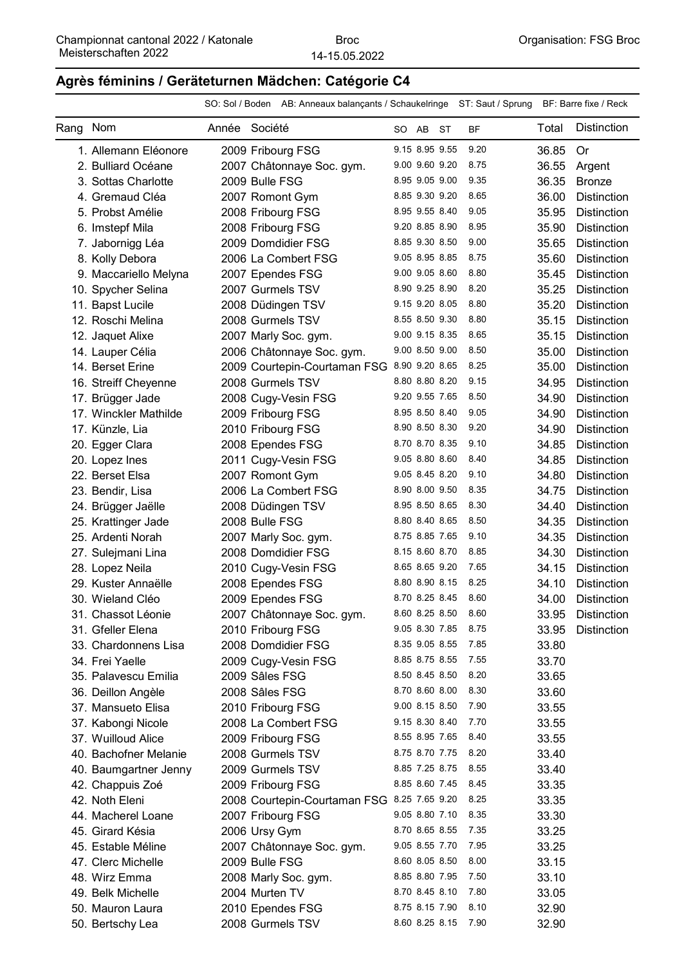#### **Agrès féminins / Geräteturnen Mädchen: Catégorie C4**

|          |                       |               | SO: Sol / Boden AB: Anneaux balançants / Schaukelringe ST: Saut / Sprung BF: Barre fixe / Reck |          |                     |           |       |                    |
|----------|-----------------------|---------------|------------------------------------------------------------------------------------------------|----------|---------------------|-----------|-------|--------------------|
| Rang Nom |                       | Année Société |                                                                                                | SO AB ST |                     | <b>BF</b> | Total | <b>Distinction</b> |
|          | 1. Allemann Eléonore  |               | 2009 Fribourg FSG                                                                              |          | 9.15 8.95 9.55      | 9.20      | 36.85 | 0r                 |
|          | 2. Bulliard Océane    |               | 2007 Châtonnaye Soc. gym.                                                                      |          | 9.00 9.60 9.20      | 8.75      | 36.55 | Argent             |
|          | 3. Sottas Charlotte   |               | 2009 Bulle FSG                                                                                 |          | 8.95 9.05 9.00      | 9.35      | 36.35 | <b>Bronze</b>      |
|          | 4. Gremaud Cléa       |               | 2007 Romont Gym                                                                                |          | 8.85 9.30 9.20      | 8.65      | 36.00 | <b>Distinction</b> |
|          | 5. Probst Amélie      |               | 2008 Fribourg FSG                                                                              |          | 8.95 9.55 8.40      | 9.05      | 35.95 | <b>Distinction</b> |
|          | 6. Imstepf Mila       |               | 2008 Fribourg FSG                                                                              |          | 9.20 8.85 8.90      | 8.95      | 35.90 | <b>Distinction</b> |
|          | 7. Jabornigg Léa      |               | 2009 Domdidier FSG                                                                             |          | 8.85 9.30 8.50      | 9.00      | 35.65 | <b>Distinction</b> |
|          | 8. Kolly Debora       |               | 2006 La Combert FSG                                                                            |          | 9.05 8.95 8.85      | 8.75      | 35.60 | <b>Distinction</b> |
|          | 9. Maccariello Melyna |               | 2007 Ependes FSG                                                                               |          | 9.00 9.05 8.60      | 8.80      | 35.45 | <b>Distinction</b> |
|          | 10. Spycher Selina    |               | 2007 Gurmels TSV                                                                               |          | 8.90 9.25 8.90      | 8.20      | 35.25 | <b>Distinction</b> |
|          | 11. Bapst Lucile      |               | 2008 Düdingen TSV                                                                              |          | 9.15 9.20 8.05      | 8.80      | 35.20 | <b>Distinction</b> |
|          | 12. Roschi Melina     |               | 2008 Gurmels TSV                                                                               |          | 8.55 8.50 9.30      | 8.80      | 35.15 | Distinction        |
|          | 12. Jaquet Alixe      |               | 2007 Marly Soc. gym.                                                                           |          | 9.00 9.15 8.35      | 8.65      | 35.15 | <b>Distinction</b> |
|          | 14. Lauper Célia      |               | 2006 Châtonnaye Soc. gym.                                                                      |          | 9.00 8.50 9.00      | 8.50      | 35.00 | <b>Distinction</b> |
|          | 14. Berset Erine      |               | 2009 Courtepin-Courtaman FSG 8.90 9.20 8.65                                                    |          |                     | 8.25      | 35.00 | <b>Distinction</b> |
|          | 16. Streiff Cheyenne  |               | 2008 Gurmels TSV                                                                               |          | 8.80 8.80 8.20      | 9.15      | 34.95 | <b>Distinction</b> |
|          | 17. Brügger Jade      |               | 2008 Cugy-Vesin FSG                                                                            |          | 9.20 9.55 7.65      | 8.50      | 34.90 | <b>Distinction</b> |
|          | 17. Winckler Mathilde |               | 2009 Fribourg FSG                                                                              |          | 8.95 8.50 8.40      | 9.05      | 34.90 | <b>Distinction</b> |
|          | 17. Künzle, Lia       |               | 2010 Fribourg FSG                                                                              |          | 8.90 8.50 8.30      | 9.20      | 34.90 | <b>Distinction</b> |
|          | 20. Egger Clara       |               | 2008 Ependes FSG                                                                               |          | 8.70 8.70 8.35      | 9.10      | 34.85 | Distinction        |
|          | 20. Lopez Ines        |               | 2011 Cugy-Vesin FSG                                                                            |          | 9.05 8.80 8.60      | 8.40      | 34.85 | <b>Distinction</b> |
|          | 22. Berset Elsa       |               | 2007 Romont Gym                                                                                |          | 9.05 8.45 8.20      | 9.10      | 34.80 | <b>Distinction</b> |
|          | 23. Bendir, Lisa      |               | 2006 La Combert FSG                                                                            |          | 8.90 8.00 9.50      | 8.35      | 34.75 | <b>Distinction</b> |
|          | 24. Brügger Jaëlle    |               | 2008 Düdingen TSV                                                                              |          | 8.95 8.50 8.65      | 8.30      | 34.40 | <b>Distinction</b> |
|          | 25. Krattinger Jade   |               | 2008 Bulle FSG                                                                                 |          | 8.80 8.40 8.65      | 8.50      | 34.35 | <b>Distinction</b> |
|          | 25. Ardenti Norah     |               | 2007 Marly Soc. gym.                                                                           |          | 8.75 8.85 7.65      | 9.10      | 34.35 | <b>Distinction</b> |
|          | 27. Sulejmani Lina    |               | 2008 Domdidier FSG                                                                             |          | 8.15 8.60 8.70      | 8.85      | 34.30 | <b>Distinction</b> |
|          | 28. Lopez Neila       |               | 2010 Cugy-Vesin FSG                                                                            |          | 8.65 8.65 9.20      | 7.65      | 34.15 | <b>Distinction</b> |
|          | 29. Kuster Annaëlle   |               | 2008 Ependes FSG                                                                               |          | 8.80 8.90 8.15      | 8.25      | 34.10 | <b>Distinction</b> |
|          | 30. Wieland Cléo      |               | 2009 Ependes FSG                                                                               |          | 8.70 8.25 8.45      | 8.60      | 34.00 | <b>Distinction</b> |
|          | 31. Chassot Léonie    |               | 2007 Châtonnaye Soc. gym.                                                                      |          | 8.60 8.25 8.50      | 8.60      |       | 33.95 Distinction  |
|          | 31. Gfeller Elena     |               | 2010 Fribourg FSG                                                                              |          | 9.05 8.30 7.85 8.75 |           | 33.95 | <b>Distinction</b> |
|          | 33. Chardonnens Lisa  |               | 2008 Domdidier FSG                                                                             |          | 8.35 9.05 8.55      | 7.85      | 33.80 |                    |
|          | 34. Frei Yaelle       |               | 2009 Cugy-Vesin FSG                                                                            |          | 8.85 8.75 8.55      | 7.55      | 33.70 |                    |
|          | 35. Palavescu Emilia  |               | 2009 Sâles FSG                                                                                 |          | 8.50 8.45 8.50      | 8.20      | 33.65 |                    |
|          | 36. Deillon Angèle    |               | 2008 Sâles FSG                                                                                 |          | 8.70 8.60 8.00      | 8.30      | 33.60 |                    |
|          | 37. Mansueto Elisa    |               | 2010 Fribourg FSG                                                                              |          | 9.00 8.15 8.50      | 7.90      | 33.55 |                    |
|          | 37. Kabongi Nicole    |               | 2008 La Combert FSG                                                                            |          | 9.15 8.30 8.40      | 7.70      | 33.55 |                    |
|          | 37. Wuilloud Alice    |               | 2009 Fribourg FSG                                                                              |          | 8.55 8.95 7.65      | 8.40      | 33.55 |                    |
|          | 40. Bachofner Melanie |               | 2008 Gurmels TSV                                                                               |          | 8.75 8.70 7.75      | 8.20      | 33.40 |                    |
|          | 40. Baumgartner Jenny |               | 2009 Gurmels TSV                                                                               |          | 8.85 7.25 8.75      | 8.55      | 33.40 |                    |
|          | 42. Chappuis Zoé      |               | 2009 Fribourg FSG                                                                              |          | 8.85 8.60 7.45      | 8.45      | 33.35 |                    |
|          | 42. Noth Eleni        |               | 2008 Courtepin-Courtaman FSG 8.25 7.65 9.20                                                    |          |                     | 8.25      | 33.35 |                    |
|          | 44. Macherel Loane    |               | 2007 Fribourg FSG                                                                              |          | 9.05 8.80 7.10      | 8.35      | 33.30 |                    |
|          | 45. Girard Késia      |               | 2006 Ursy Gym                                                                                  |          | 8.70 8.65 8.55      | 7.35      | 33.25 |                    |
|          | 45. Estable Méline    |               | 2007 Châtonnaye Soc. gym.                                                                      |          | 9.05 8.55 7.70      | 7.95      | 33.25 |                    |
|          | 47. Clerc Michelle    |               | 2009 Bulle FSG                                                                                 |          | 8.60 8.05 8.50      | 8.00      | 33.15 |                    |
|          | 48. Wirz Emma         |               | 2008 Marly Soc. gym.                                                                           |          | 8.85 8.80 7.95      | 7.50      | 33.10 |                    |
|          | 49. Belk Michelle     |               | 2004 Murten TV                                                                                 |          | 8.70 8.45 8.10      | 7.80      | 33.05 |                    |

50. Ependes FSG Mauron Laura 2010 8.75 8.15 8.10 7.90 32.90 50. Bertschy Lea 2008 Gurmels TSV 8.60 8.25 8.15 7.90 32.90